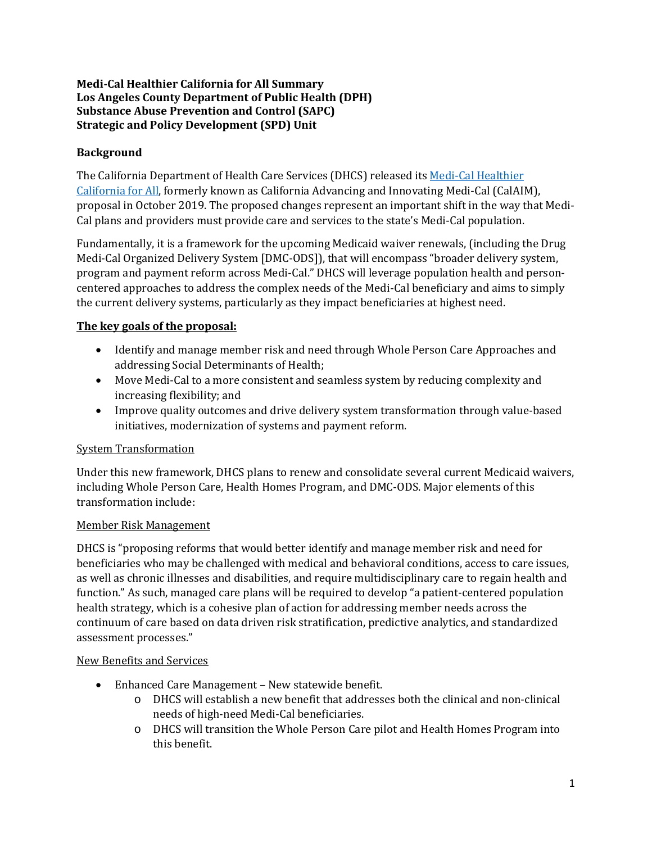### **Medi-Cal Healthier California for All Summary Los Angeles County Department of Public Health (DPH) Substance Abuse Prevention and Control (SAPC) Strategic and Policy Development (SPD) Unit**

# **Background**

The California Department of Health Care Services (DHCS) released it[s Medi-Cal Healthier](https://www.dhcs.ca.gov/provgovpart/pages/medi-calhealthiercaforall.aspx)  [California for All,](https://www.dhcs.ca.gov/provgovpart/pages/medi-calhealthiercaforall.aspx) formerly known as California Advancing and Innovating Medi-Cal (CalAIM), proposal in October 2019. The proposed changes represent an important shift in the way that Medi-Cal plans and providers must provide care and services to the state's Medi-Cal population.

Fundamentally, it is a framework for the upcoming Medicaid waiver renewals, (including the Drug Medi-Cal Organized Delivery System [DMC-ODS]), that will encompass "broader delivery system, program and payment reform across Medi-Cal." DHCS will leverage population health and personcentered approaches to address the complex needs of the Medi-Cal beneficiary and aims to simply the current delivery systems, particularly as they impact beneficiaries at highest need.

#### **The key goals of the proposal:**

- Identify and manage member risk and need through Whole Person Care Approaches and addressing Social Determinants of Health;
- Move Medi-Cal to a more consistent and seamless system by reducing complexity and increasing flexibility; and
- Improve quality outcomes and drive delivery system transformation through value-based initiatives, modernization of systems and payment reform.

#### System Transformation

Under this new framework, DHCS plans to renew and consolidate several current Medicaid waivers, including Whole Person Care, Health Homes Program, and DMC-ODS. Major elements of this transformation include:

#### Member Risk Management

DHCS is "proposing reforms that would better identify and manage member risk and need for beneficiaries who may be challenged with medical and behavioral conditions, access to care issues, as well as chronic illnesses and disabilities, and require multidisciplinary care to regain health and function." As such, managed care plans will be required to develop "a patient-centered population health strategy, which is a cohesive plan of action for addressing member needs across the continuum of care based on data driven risk stratification, predictive analytics, and standardized assessment processes."

#### New Benefits and Services

- Enhanced Care Management New statewide benefit.
	- o DHCS will establish a new benefit that addresses both the clinical and non-clinical needs of high-need Medi-Cal beneficiaries.
	- o DHCS will transition the Whole Person Care pilot and Health Homes Program into this benefit.